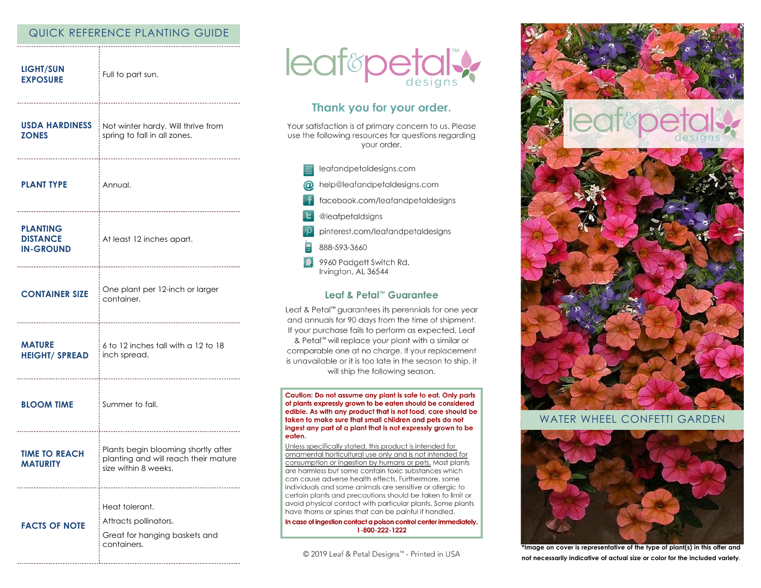# QUICK REFERENCE PLANTING GUIDE

| <b>LIGHT/SUN</b><br><b>EXPOSURE</b>                    | Full to part sun.                                                                                   |
|--------------------------------------------------------|-----------------------------------------------------------------------------------------------------|
| USDA HARDINESS<br><b>ZONES</b>                         | Not winter hardy. Will thrive from<br>spring to fall in all zones.                                  |
| <b>PLANT TYPE</b>                                      | i Annual.                                                                                           |
| <b>PLANTING</b><br><b>DISTANCE</b><br><b>IN-GROUND</b> | At least 12 inches apart.                                                                           |
| <b>CONTAINER SIZE</b>                                  | One plant per 12-inch or larger<br>container.                                                       |
| <b>MATURE</b><br><b>HEIGHT/ SPREAD</b>                 | 6 to 12 inches tall with a 12 to 18<br>inch spread.                                                 |
| <b>BLOOM TIME</b>                                      | : Summer to fall.                                                                                   |
| <b>TIME TO REACH</b><br><b>MATURITY</b>                | Plants begin blooming shortly after<br>planting and will reach their mature<br>size within 8 weeks. |
| <b>FACTS OF NOTE</b>                                   | Heat tolerant.<br>Attracts pollinators.<br>Great for hanging baskets and<br>containers.             |



# Thank you for your order.

Your satisfaction is of primary concern to us. Please use the following resources for questions regarding your order.

- leafandpetaldesigns.com
- help@leafandpetaldesigns.com
- facebook.com/leafandpetaldesigns
- @leafpetaldsigns
- pinterest.com/leafandpetaldesigns
- 888-593-3660
- 9960 Padgett Switch Rd. Irvington, AL 36544

### Leaf & Petal™ Guarantee

Leaf & Petal<sup>™</sup> guarantees its perennials for one year and annuals for 90 days from the time of shipment. If your purchase fails to perform as expected, Leaf & Petal™ will replace your plant with a similar or comparable one at no charge. If your replacement is unavailable or it is too late in the season to ship, it will ship the following season.

Caution: Do not assume any plant is safe to eat. Only parts of plants expressly grown to be eaten should be considered edible. As with any product that is not food, care should be taken to make sure that small children and pets do not ingest any part of a plant that is not expressly grown to be eaten.

Unless specifically stated, this product is intended for ornamental horticultural use only and is not intended for consumption or ingestion by humans or pets. Most plants are harmless but some contain toxic substances which can cause adverse health effects. Furthermore, some individuals and some animals are sensitive or allergic to certain plants and precautions should be taken to limit or avoid physical contact with particular plants. Some plants have thorns or spines that can be painful if handled.

In case of ingestion contact a poison control center immediately. 1-800-222-1222

© 2019 Leaf & Petal Designs™ - Printed in USA



## WATER WHEEL CONFETTI GARDEN



\*Image on cover is representative of the type of plant(s) in this offer and not necessarily indicative of actual size or color for the included variety.